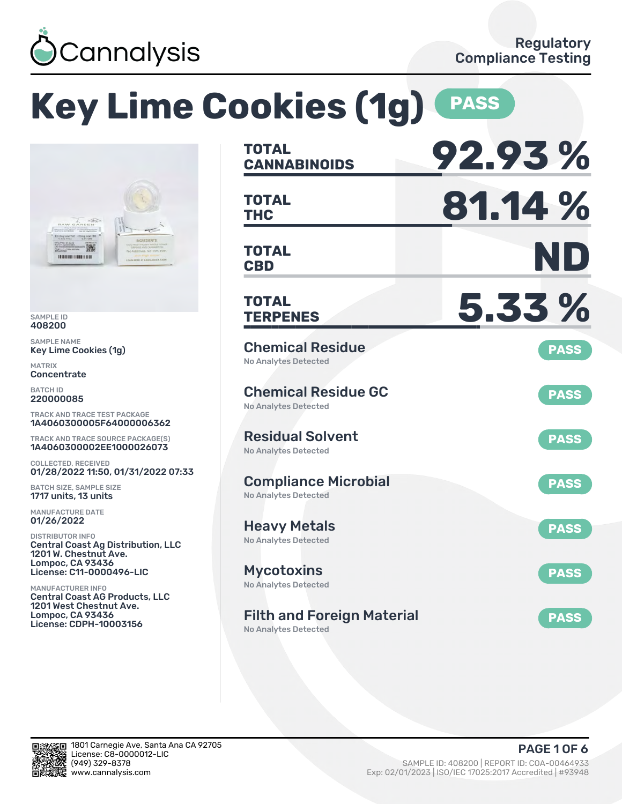

### **Key Lime Cookies (1g) PASS TOTAL CANNABINOIDS 92.93 % TOTAL** TOTAL **81.14 % TOTAL CBD ND TOTAL TERPENES 5.33 %** Chemical Residue No Analytes Detected **PASS** Chemical Residue GC No Analytes Detected **PASS** Residual Solvent No Analytes Detected **PASS** Compliance Microbial No Analytes Detected **PASS** Heavy Metals No Analytes Detected **PASS** Mycotoxins No Analytes Detected **PASS** Filth and Foreign Material No Analytes Detected **PASS** TRACK AND TRACE TEST PACKAGE 1A4060300005F64000006362 TRACK AND TRACE SOURCE PACKAGE(S) 1A4060300002EE1000026073 01/28/2022 11:50, 01/31/2022 07:33 Central Coast Ag Distribution, LLC License: C11-0000496-LIC Central Coast AG Products, LLC 1201 West Chestnut Ave. License: CDPH-10003156

SAMPLE ID 408200 SAMPLE NAME

MATRIX **Concentrate** BATCH ID 220000085

Key Lime Cookies (1g)

骤 **DURAHUMAN DR** 

COLLECTED, RECEIVED

BATCH SIZE, SAMPLE SIZE 1717 units, 13 units MANUFACTURE DATE 01/26/2022 DISTRIBUTOR INFO

1201 W. Chestnut Ave. Lompoc, CA 93436

MANUFACTURER INFO

Lompoc, CA 93436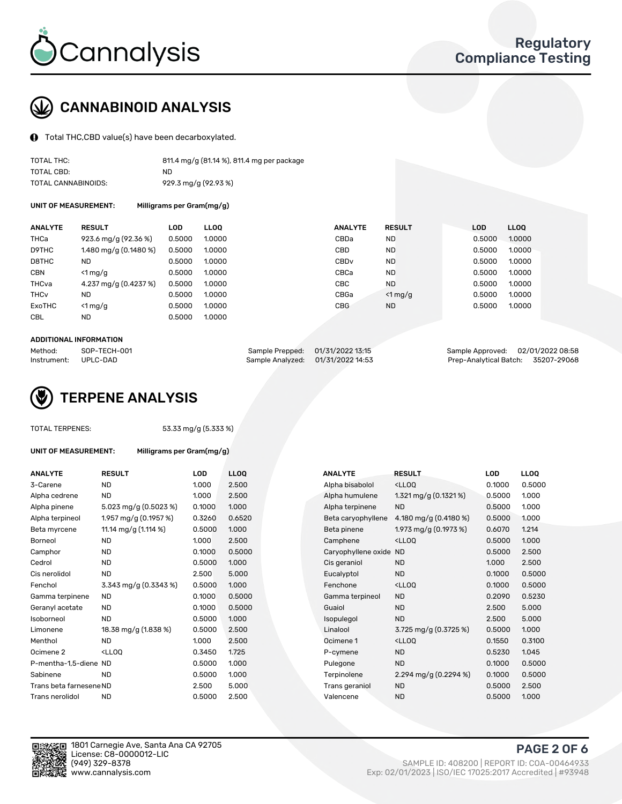

# CANNABINOID ANALYSIS

Total THC,CBD value(s) have been decarboxylated.

| TOTAL THC:          | 811.4 mg/g (81.14 %), 811.4 mg per package |
|---------------------|--------------------------------------------|
| TOTAL CBD:          | ND.                                        |
| TOTAL CANNABINOIDS: | 929.3 mg/g (92.93 %)                       |

UNIT OF MEASUREMENT: Milligrams per Gram(mg/g)

| <b>ANALYTE</b>         | <b>RESULT</b>         | <b>LOD</b> | <b>LLOO</b> | <b>ANALYTE</b>   | <b>RESULT</b> | <b>LOD</b> | <b>LLOO</b> |
|------------------------|-----------------------|------------|-------------|------------------|---------------|------------|-------------|
| THCa                   | 923.6 mg/g (92.36 %)  | 0.5000     | 1.0000      | CBDa             | <b>ND</b>     | 0.5000     | 1.0000      |
| D9THC                  | 1.480 mg/g (0.1480 %) | 0.5000     | 1.0000      | CBD              | <b>ND</b>     | 0.5000     | 1.0000      |
| D8THC                  | ND                    | 0.5000     | 1.0000      | CBD <sub>v</sub> | <b>ND</b>     | 0.5000     | 1.0000      |
| <b>CBN</b>             | $\leq 1$ mg/g         | 0.5000     | 1.0000      | CBCa             | <b>ND</b>     | 0.5000     | 1.0000      |
| THCva                  | 4.237 mg/g (0.4237 %) | 0.5000     | 1.0000      | CBC              | <b>ND</b>     | 0.5000     | 1.0000      |
| <b>THC<sub>v</sub></b> | <b>ND</b>             | 0.5000     | 1.0000      | CBGa             | $<$ 1 mg/g    | 0.5000     | 1.0000      |
| ExoTHC                 | $\leq 1$ mg/g         | 0.5000     | 1.0000      | <b>CBG</b>       | <b>ND</b>     | 0.5000     | 1.0000      |
| <b>CBL</b>             | <b>ND</b>             | 0.5000     | 1.0000      |                  |               |            |             |
|                        |                       |            |             |                  |               |            |             |

#### ADDITIONAL INFORMATION

| Method:              | SOP-TECH-001 | Sample Prepped: 01/31/2022 13:15  | Sample Approved: 02/01/2022 08:58  |  |
|----------------------|--------------|-----------------------------------|------------------------------------|--|
| Instrument: UPLC-DAD |              | Sample Analyzed: 01/31/2022 14:53 | Prep-Analytical Batch: 35207-29068 |  |



TOTAL TERPENES: 53.33 mg/g (5.333 %)

| UNIT OF MEASUREMENT: | Milligrams per Gram(mg/g) |
|----------------------|---------------------------|
|                      |                           |

| <b>ANALYTE</b>          | <b>RESULT</b>                                                                                                      | LOD    | <b>LLOQ</b> | <b>ANALYTE</b>         | <b>RESULT</b>                                      | LOD    | <b>LLOQ</b> |
|-------------------------|--------------------------------------------------------------------------------------------------------------------|--------|-------------|------------------------|----------------------------------------------------|--------|-------------|
| 3-Carene                | <b>ND</b>                                                                                                          | 1.000  | 2.500       | Alpha bisabolol        | <ll0q< td=""><td>0.1000</td><td>0.500</td></ll0q<> | 0.1000 | 0.500       |
| Alpha cedrene           | <b>ND</b>                                                                                                          | 1.000  | 2.500       | Alpha humulene         | 1.321 mg/g $(0.1321\%)$                            | 0.5000 | 1.000       |
| Alpha pinene            | 5.023 mg/g (0.5023 %)                                                                                              | 0.1000 | 1.000       | Alpha terpinene        | <b>ND</b>                                          | 0.5000 | 1.000       |
| Alpha terpineol         | 1.957 mg/g (0.1957 %)                                                                                              | 0.3260 | 0.6520      | Beta caryophyllene     | 4.180 mg/g (0.4180 %)                              | 0.5000 | 1.000       |
| Beta myrcene            | 11.14 mg/g (1.114 %)                                                                                               | 0.5000 | 1.000       | Beta pinene            | 1.973 mg/g (0.1973 %)                              | 0.6070 | 1.214       |
| <b>Borneol</b>          | ND.                                                                                                                | 1.000  | 2.500       | Camphene               | <lloq< td=""><td>0.5000</td><td>1.000</td></lloq<> | 0.5000 | 1.000       |
| Camphor                 | <b>ND</b>                                                                                                          | 0.1000 | 0.5000      | Caryophyllene oxide ND |                                                    | 0.5000 | 2.500       |
| Cedrol                  | ND.                                                                                                                | 0.5000 | 1.000       | Cis geraniol           | <b>ND</b>                                          | 1.000  | 2.500       |
| Cis nerolidol           | <b>ND</b>                                                                                                          | 2.500  | 5.000       | Eucalyptol             | <b>ND</b>                                          | 0.1000 | 0.500       |
| Fenchol                 | 3.343 mg/g (0.3343 %)                                                                                              | 0.5000 | 1.000       | Fenchone               | <ll0q< td=""><td>0.1000</td><td>0.500</td></ll0q<> | 0.1000 | 0.500       |
| Gamma terpinene         | ND.                                                                                                                | 0.1000 | 0.5000      | Gamma terpineol        | <b>ND</b>                                          | 0.2090 | 0.523       |
| Geranyl acetate         | <b>ND</b>                                                                                                          | 0.1000 | 0.5000      | Guaiol                 | <b>ND</b>                                          | 2.500  | 5.000       |
| Isoborneol              | <b>ND</b>                                                                                                          | 0.5000 | 1.000       | Isopulegol             | <b>ND</b>                                          | 2.500  | 5.000       |
| Limonene                | 18.38 mg/g (1.838 %)                                                                                               | 0.5000 | 2.500       | Linalool               | 3.725 mg/g $(0.3725\%)$                            | 0.5000 | 1.000       |
| Menthol                 | <b>ND</b>                                                                                                          | 1.000  | 2.500       | Ocimene 1              | <ll0q< td=""><td>0.1550</td><td>0.310</td></ll0q<> | 0.1550 | 0.310       |
| Ocimene 2               | <lloq< td=""><td>0.3450</td><td>1.725</td><td>P-cymene</td><td><b>ND</b></td><td>0.5230</td><td>1.045</td></lloq<> | 0.3450 | 1.725       | P-cymene               | <b>ND</b>                                          | 0.5230 | 1.045       |
| P-mentha-1,5-diene ND   |                                                                                                                    | 0.5000 | 1.000       | Pulegone               | <b>ND</b>                                          | 0.1000 | 0.500       |
| Sabinene                | <b>ND</b>                                                                                                          | 0.5000 | 1.000       | Terpinolene            | 2.294 mg/g $(0.2294\%)$                            | 0.1000 | 0.500       |
| Trans beta farnesene ND |                                                                                                                    | 2.500  | 5.000       | Trans geraniol         | <b>ND</b>                                          | 0.5000 | 2.500       |
| Trans nerolidol         | <b>ND</b>                                                                                                          | 0.5000 | 2.500       | Valencene              | <b>ND</b>                                          | 0.5000 | 1.000       |
|                         |                                                                                                                    |        |             |                        |                                                    |        |             |

| ANALYTE                 | <b>RESULT</b>                                                                                                      | <b>LOD</b> | <b>LLOQ</b> | <b>ANALYTE</b>         | <b>RESULT</b>                                       | LOD    | <b>LLOQ</b> |
|-------------------------|--------------------------------------------------------------------------------------------------------------------|------------|-------------|------------------------|-----------------------------------------------------|--------|-------------|
| 3-Carene                | <b>ND</b>                                                                                                          | 1.000      | 2.500       | Alpha bisabolol        | <lloq< td=""><td>0.1000</td><td>0.5000</td></lloq<> | 0.1000 | 0.5000      |
| Alpha cedrene           | <b>ND</b>                                                                                                          | 1.000      | 2.500       | Alpha humulene         | 1.321 mg/g $(0.1321\%)$                             | 0.5000 | 1.000       |
| Alpha pinene            | 5.023 mg/g $(0.5023\%)$                                                                                            | 0.1000     | 1.000       | Alpha terpinene        | <b>ND</b>                                           | 0.5000 | 1.000       |
| Alpha terpineol         | 1.957 mg/g (0.1957 %)                                                                                              | 0.3260     | 0.6520      | Beta caryophyllene     | 4.180 mg/g $(0.4180\%)$                             | 0.5000 | 1.000       |
| Beta myrcene            | 11.14 mg/g (1.114 %)                                                                                               | 0.5000     | 1.000       | Beta pinene            | 1.973 mg/g $(0.1973 \%)$                            | 0.6070 | 1.214       |
| Borneol                 | <b>ND</b>                                                                                                          | 1.000      | 2.500       | Camphene               | <lloq< td=""><td>0.5000</td><td>1.000</td></lloq<>  | 0.5000 | 1.000       |
| Camphor                 | <b>ND</b>                                                                                                          | 0.1000     | 0.5000      | Caryophyllene oxide ND |                                                     | 0.5000 | 2.500       |
| Cedrol                  | <b>ND</b>                                                                                                          | 0.5000     | 1.000       | Cis geraniol           | <b>ND</b>                                           | 1.000  | 2.500       |
| Cis nerolidol           | <b>ND</b>                                                                                                          | 2.500      | 5.000       | Eucalyptol             | <b>ND</b>                                           | 0.1000 | 0.5000      |
| Fenchol                 | 3.343 mg/g (0.3343 %)                                                                                              | 0.5000     | 1.000       | Fenchone               | <lloq< td=""><td>0.1000</td><td>0.5000</td></lloq<> | 0.1000 | 0.5000      |
| Gamma terpinene         | <b>ND</b>                                                                                                          | 0.1000     | 0.5000      | Gamma terpineol        | <b>ND</b>                                           | 0.2090 | 0.5230      |
| Geranyl acetate         | ND.                                                                                                                | 0.1000     | 0.5000      | Guaiol                 | <b>ND</b>                                           | 2.500  | 5.000       |
| Isoborneol              | <b>ND</b>                                                                                                          | 0.5000     | 1.000       | Isopulegol             | <b>ND</b>                                           | 2.500  | 5.000       |
| Limonene                | 18.38 mg/g (1.838 %)                                                                                               | 0.5000     | 2.500       | Linalool               | 3.725 mg/g (0.3725 %)                               | 0.5000 | 1.000       |
| Menthol                 | <b>ND</b>                                                                                                          | 1.000      | 2.500       | Ocimene 1              | <lloq< td=""><td>0.1550</td><td>0.3100</td></lloq<> | 0.1550 | 0.3100      |
| Ocimene 2               | <lloq< td=""><td>0.3450</td><td>1.725</td><td>P-cymene</td><td><b>ND</b></td><td>0.5230</td><td>1.045</td></lloq<> | 0.3450     | 1.725       | P-cymene               | <b>ND</b>                                           | 0.5230 | 1.045       |
| P-mentha-1,5-diene ND   |                                                                                                                    | 0.5000     | 1.000       | Pulegone               | <b>ND</b>                                           | 0.1000 | 0.5000      |
| Sabinene                | <b>ND</b>                                                                                                          | 0.5000     | 1.000       | Terpinolene            | 2.294 mg/g $(0.2294\%)$                             | 0.1000 | 0.5000      |
| Trans beta farnesene ND |                                                                                                                    | 2.500      | 5.000       | Trans geraniol         | <b>ND</b>                                           | 0.5000 | 2.500       |
| Trans nerolidol         | <b>ND</b>                                                                                                          | 0.5000     | 2.500       | Valencene              | <b>ND</b>                                           | 0.5000 | 1.000       |



PAGE 2 OF 6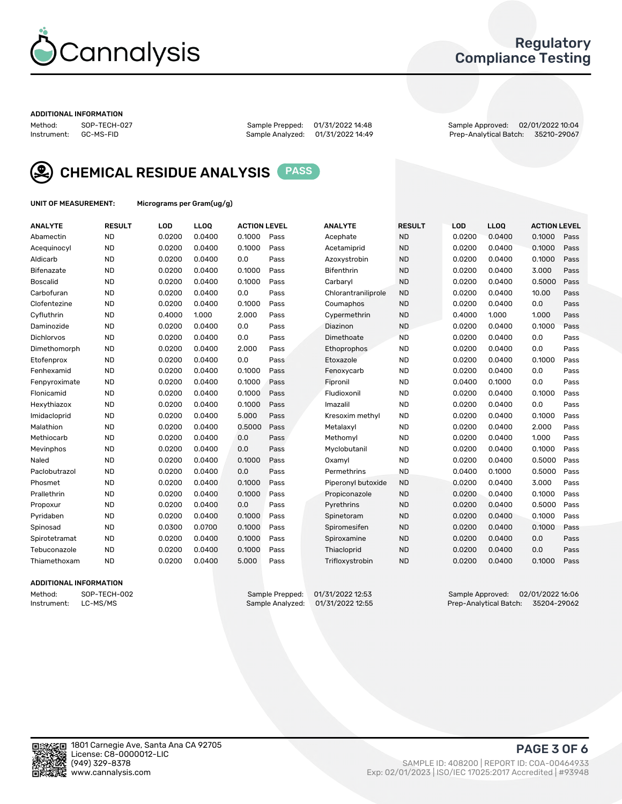

### Regulatory Compliance Testing

#### ADDITIONAL INFORMATION

Method: SOP-TECH-027 Sample Prepped: 01/31/2022 14:48 Sample Approved: 02/01/2022 10:04 Prep-Analytical Batch: 35210-29067



CHEMICAL RESIDUE ANALYSIS PASS

UNIT OF MEASUREMENT: Micrograms per Gram(ug/g)

| <b>ANALYTE</b>    | <b>RESULT</b> | LOD    | LLOQ   | <b>ACTION LEVEL</b> |      | <b>ANALYTE</b>      | <b>RESULT</b> | LOD    | <b>LLOQ</b> | <b>ACTION LEVEL</b> |      |
|-------------------|---------------|--------|--------|---------------------|------|---------------------|---------------|--------|-------------|---------------------|------|
| Abamectin         | <b>ND</b>     | 0.0200 | 0.0400 | 0.1000              | Pass | Acephate            | <b>ND</b>     | 0.0200 | 0.0400      | 0.1000              | Pass |
| Acequinocyl       | <b>ND</b>     | 0.0200 | 0.0400 | 0.1000              | Pass | Acetamiprid         | <b>ND</b>     | 0.0200 | 0.0400      | 0.1000              | Pass |
| Aldicarb          | <b>ND</b>     | 0.0200 | 0.0400 | 0.0                 | Pass | Azoxystrobin        | <b>ND</b>     | 0.0200 | 0.0400      | 0.1000              | Pass |
| Bifenazate        | <b>ND</b>     | 0.0200 | 0.0400 | 0.1000              | Pass | Bifenthrin          | <b>ND</b>     | 0.0200 | 0.0400      | 3.000               | Pass |
| <b>Boscalid</b>   | <b>ND</b>     | 0.0200 | 0.0400 | 0.1000              | Pass | Carbaryl            | <b>ND</b>     | 0.0200 | 0.0400      | 0.5000              | Pass |
| Carbofuran        | <b>ND</b>     | 0.0200 | 0.0400 | 0.0                 | Pass | Chlorantraniliprole | <b>ND</b>     | 0.0200 | 0.0400      | 10.00               | Pass |
| Clofentezine      | <b>ND</b>     | 0.0200 | 0.0400 | 0.1000              | Pass | Coumaphos           | <b>ND</b>     | 0.0200 | 0.0400      | 0.0                 | Pass |
| Cyfluthrin        | <b>ND</b>     | 0.4000 | 1.000  | 2.000               | Pass | Cypermethrin        | <b>ND</b>     | 0.4000 | 1.000       | 1.000               | Pass |
| Daminozide        | <b>ND</b>     | 0.0200 | 0.0400 | 0.0                 | Pass | Diazinon            | <b>ND</b>     | 0.0200 | 0.0400      | 0.1000              | Pass |
| <b>Dichlorvos</b> | <b>ND</b>     | 0.0200 | 0.0400 | 0.0                 | Pass | Dimethoate          | <b>ND</b>     | 0.0200 | 0.0400      | 0.0                 | Pass |
| Dimethomorph      | <b>ND</b>     | 0.0200 | 0.0400 | 2.000               | Pass | Ethoprophos         | <b>ND</b>     | 0.0200 | 0.0400      | 0.0                 | Pass |
| Etofenprox        | <b>ND</b>     | 0.0200 | 0.0400 | 0.0                 | Pass | Etoxazole           | <b>ND</b>     | 0.0200 | 0.0400      | 0.1000              | Pass |
| Fenhexamid        | <b>ND</b>     | 0.0200 | 0.0400 | 0.1000              | Pass | Fenoxycarb          | <b>ND</b>     | 0.0200 | 0.0400      | 0.0                 | Pass |
| Fenpyroximate     | <b>ND</b>     | 0.0200 | 0.0400 | 0.1000              | Pass | Fipronil            | <b>ND</b>     | 0.0400 | 0.1000      | 0.0                 | Pass |
| Flonicamid        | <b>ND</b>     | 0.0200 | 0.0400 | 0.1000              | Pass | Fludioxonil         | <b>ND</b>     | 0.0200 | 0.0400      | 0.1000              | Pass |
| Hexythiazox       | <b>ND</b>     | 0.0200 | 0.0400 | 0.1000              | Pass | Imazalil            | <b>ND</b>     | 0.0200 | 0.0400      | 0.0                 | Pass |
| Imidacloprid      | <b>ND</b>     | 0.0200 | 0.0400 | 5.000               | Pass | Kresoxim methyl     | <b>ND</b>     | 0.0200 | 0.0400      | 0.1000              | Pass |
| Malathion         | <b>ND</b>     | 0.0200 | 0.0400 | 0.5000              | Pass | Metalaxyl           | <b>ND</b>     | 0.0200 | 0.0400      | 2.000               | Pass |
| Methiocarb        | <b>ND</b>     | 0.0200 | 0.0400 | 0.0                 | Pass | Methomyl            | <b>ND</b>     | 0.0200 | 0.0400      | 1.000               | Pass |
| Mevinphos         | <b>ND</b>     | 0.0200 | 0.0400 | 0.0                 | Pass | Myclobutanil        | <b>ND</b>     | 0.0200 | 0.0400      | 0.1000              | Pass |
| Naled             | <b>ND</b>     | 0.0200 | 0.0400 | 0.1000              | Pass | Oxamyl              | <b>ND</b>     | 0.0200 | 0.0400      | 0.5000              | Pass |
| Paclobutrazol     | <b>ND</b>     | 0.0200 | 0.0400 | 0.0                 | Pass | Permethrins         | <b>ND</b>     | 0.0400 | 0.1000      | 0.5000              | Pass |
| Phosmet           | <b>ND</b>     | 0.0200 | 0.0400 | 0.1000              | Pass | Piperonyl butoxide  | <b>ND</b>     | 0.0200 | 0.0400      | 3.000               | Pass |
| Prallethrin       | <b>ND</b>     | 0.0200 | 0.0400 | 0.1000              | Pass | Propiconazole       | <b>ND</b>     | 0.0200 | 0.0400      | 0.1000              | Pass |
| Propoxur          | <b>ND</b>     | 0.0200 | 0.0400 | 0.0                 | Pass | Pyrethrins          | <b>ND</b>     | 0.0200 | 0.0400      | 0.5000              | Pass |
| Pyridaben         | <b>ND</b>     | 0.0200 | 0.0400 | 0.1000              | Pass | Spinetoram          | <b>ND</b>     | 0.0200 | 0.0400      | 0.1000              | Pass |
| Spinosad          | <b>ND</b>     | 0.0300 | 0.0700 | 0.1000              | Pass | Spiromesifen        | <b>ND</b>     | 0.0200 | 0.0400      | 0.1000              | Pass |
| Spirotetramat     | <b>ND</b>     | 0.0200 | 0.0400 | 0.1000              | Pass | Spiroxamine         | <b>ND</b>     | 0.0200 | 0.0400      | 0.0                 | Pass |
| Tebuconazole      | <b>ND</b>     | 0.0200 | 0.0400 | 0.1000              | Pass | Thiacloprid         | <b>ND</b>     | 0.0200 | 0.0400      | 0.0                 | Pass |
| Thiamethoxam      | <b>ND</b>     | 0.0200 | 0.0400 | 5.000               | Pass | Trifloxystrobin     | <b>ND</b>     | 0.0200 | 0.0400      | 0.1000              | Pass |
|                   |               |        |        |                     |      |                     |               |        |             |                     |      |

### ADDITIONAL INFORMATION

Method: SOP-TECH-002 Sample Prepped: 01/31/2022 12:53 Sample Approved: 02/01/2022 16:06<br>Instrument: LC-MS/MS Sample Analyzed: 01/31/2022 12:55 Prep-Analytical Batch: 35204-29062 Prep-Analytical Batch: 35204-29062

PAGE 3 OF 6

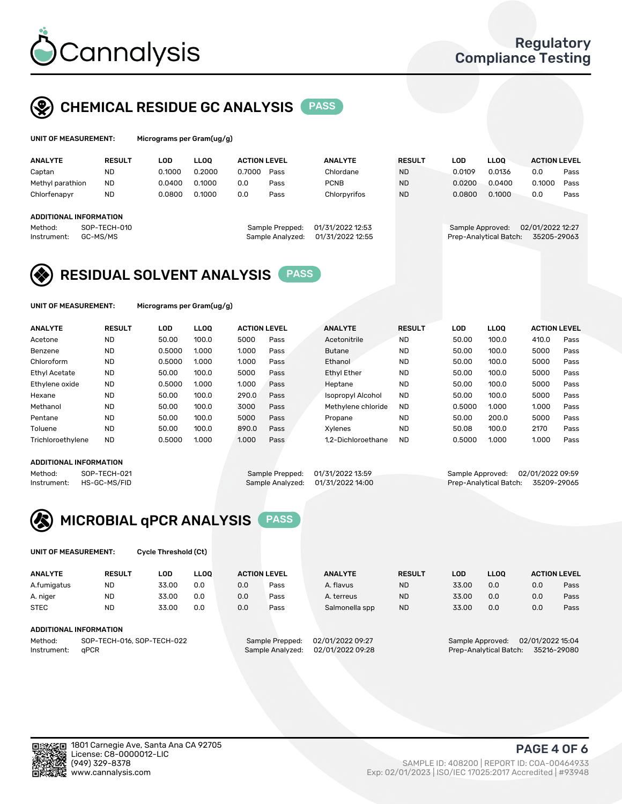

# CHEMICAL RESIDUE GC ANALYSIS PASS

| UNIT OF MEASUREMENT: | Micrograms per |
|----------------------|----------------|
|                      |                |

Gram(ug/g)

| <b>ANALYTE</b>                | <b>RESULT</b>            | LOD    | LLOO   | <b>ACTION LEVEL</b> |                                     | <b>ANALYTE</b>                       | <b>RESULT</b> | LOD              | <b>LLOO</b>            | <b>ACTION LEVEL</b>             |      |
|-------------------------------|--------------------------|--------|--------|---------------------|-------------------------------------|--------------------------------------|---------------|------------------|------------------------|---------------------------------|------|
| Captan                        | <b>ND</b>                | 0.1000 | 0.2000 | 0.7000              | Pass                                | Chlordane                            | <b>ND</b>     | 0.0109           | 0.0136                 | 0.0                             | Pass |
| Methyl parathion              | <b>ND</b>                | 0.0400 | 0.1000 | 0.0                 | Pass                                | <b>PCNB</b>                          | <b>ND</b>     | 0.0200           | 0.0400                 | 0.1000                          | Pass |
| Chlorfenapyr                  | <b>ND</b>                | 0.0800 | 0.1000 | 0.0                 | Pass                                | Chlorpyrifos                         | <b>ND</b>     | 0.0800           | 0.1000                 | 0.0                             | Pass |
| <b>ADDITIONAL INFORMATION</b> |                          |        |        |                     |                                     |                                      |               |                  |                        |                                 |      |
| Method:<br>Instrument:        | SOP-TECH-010<br>GC-MS/MS |        |        |                     | Sample Prepped:<br>Sample Analyzed: | 01/31/2022 12:53<br>01/31/2022 12:55 |               | Sample Approved: | Prep-Analytical Batch: | 02/01/2022 12:27<br>35205-29063 |      |

## RESIDUAL SOLVENT ANALYSIS PASS

UNIT OF MEASUREMENT: Micrograms per Gram(ug/g)

| <b>ANALYTE</b>       | <b>RESULT</b> | LOD    | <b>LLOO</b> | <b>ACTION LEVEL</b> |      | <b>ANALYTE</b>           | <b>RESULT</b> | LOD    | LLOO  | <b>ACTION LEVEL</b> |      |
|----------------------|---------------|--------|-------------|---------------------|------|--------------------------|---------------|--------|-------|---------------------|------|
| Acetone              | <b>ND</b>     | 50.00  | 100.0       | 5000                | Pass | Acetonitrile             | <b>ND</b>     | 50.00  | 100.0 | 410.0               | Pass |
| Benzene              | <b>ND</b>     | 0.5000 | 1.000       | 1.000               | Pass | <b>Butane</b>            | <b>ND</b>     | 50.00  | 100.0 | 5000                | Pass |
| Chloroform           | <b>ND</b>     | 0.5000 | 1.000       | 1.000               | Pass | Ethanol                  | <b>ND</b>     | 50.00  | 100.0 | 5000                | Pass |
| <b>Ethyl Acetate</b> | <b>ND</b>     | 50.00  | 100.0       | 5000                | Pass | <b>Ethyl Ether</b>       | <b>ND</b>     | 50.00  | 100.0 | 5000                | Pass |
| Ethylene oxide       | <b>ND</b>     | 0.5000 | 1.000       | 1.000               | Pass | Heptane                  | <b>ND</b>     | 50.00  | 100.0 | 5000                | Pass |
| Hexane               | <b>ND</b>     | 50.00  | 100.0       | 290.0               | Pass | <b>Isopropyl Alcohol</b> | <b>ND</b>     | 50.00  | 100.0 | 5000                | Pass |
| Methanol             | <b>ND</b>     | 50.00  | 100.0       | 3000                | Pass | Methylene chloride       | <b>ND</b>     | 0.5000 | 1.000 | 1.000               | Pass |
| Pentane              | <b>ND</b>     | 50.00  | 100.0       | 5000                | Pass | Propane                  | <b>ND</b>     | 50.00  | 200.0 | 5000                | Pass |
| Toluene              | <b>ND</b>     | 50.00  | 100.0       | 890.0               | Pass | Xvlenes                  | <b>ND</b>     | 50.08  | 100.0 | 2170                | Pass |
| Trichloroethylene    | <b>ND</b>     | 0.5000 | 1.000       | 1.000               | Pass | 1.2-Dichloroethane       | <b>ND</b>     | 0.5000 | 1.000 | 1.000               | Pass |

### ADDITIONAL INFORMATION

Method: SOP-TECH-021 Sample Prepped: 01/31/2022 13:59 Sample Approved: 02/01/2022 09:59<br>Instrument: HS-GC-MS/FID Sample Analyzed: 01/31/2022 14:00 Prep-Analytical Batch: 35209-29065 Prep-Analytical Batch: 35209-29065



UNIT OF MEASUREMENT: Cycle Threshold (Ct)

| <b>ANALYTE</b> | <b>RESULT</b>                 | LOD   | <b>LLOO</b> |     | <b>ACTION LEVEL</b> | <b>ANALYTE</b>   | <b>RESULT</b> | <b>LOD</b> | <b>LLOO</b>      |                  | <b>ACTION LEVEL</b> |
|----------------|-------------------------------|-------|-------------|-----|---------------------|------------------|---------------|------------|------------------|------------------|---------------------|
| A.fumigatus    | <b>ND</b>                     | 33.00 | 0.0         | 0.0 | Pass                | A. flavus        | <b>ND</b>     | 33.00      | 0.0              | 0.0              | Pass                |
| A. niger       | <b>ND</b>                     | 33.00 | 0.0         | 0.0 | Pass                | A. terreus       | <b>ND</b>     | 33.00      | 0.0              | 0.0              | Pass                |
| <b>STEC</b>    | <b>ND</b>                     | 33.00 | 0.0         | 0.0 | Pass                | Salmonella spp   | <b>ND</b>     | 33.00      | 0.0              | 0.0              | Pass                |
|                | <b>ADDITIONAL INFORMATION</b> |       |             |     |                     |                  |               |            |                  |                  |                     |
| Method:        | SOP-TECH-016, SOP-TECH-022    |       |             |     | Sample Prepped:     | 02/01/2022 09:27 |               |            | Sample Approved: | 02/01/2022 15:04 |                     |

Instrument: qPCR Sample Analyzed: 02/01/2022 09:28 Prep-Analytical Batch: 35216-29080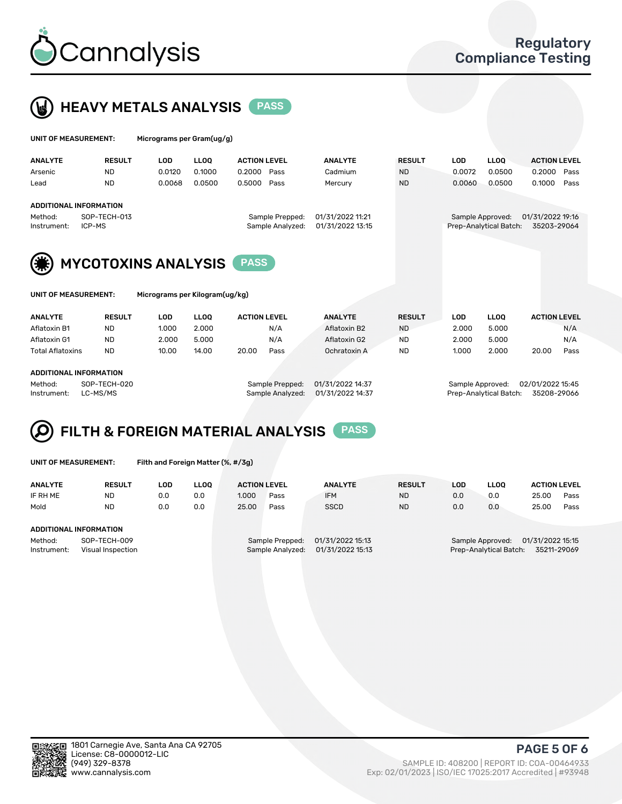



| UNIT OF MEASUREMENT: |                            | Micrograms per Gram(ug/g) |             |                     |                  |                  |               |            |                        |                     |      |
|----------------------|----------------------------|---------------------------|-------------|---------------------|------------------|------------------|---------------|------------|------------------------|---------------------|------|
| <b>ANALYTE</b>       | <b>RESULT</b>              | LOD                       | <b>LLOO</b> | <b>ACTION LEVEL</b> |                  | <b>ANALYTE</b>   | <b>RESULT</b> | <b>LOD</b> | <b>LLOO</b>            | <b>ACTION LEVEL</b> |      |
| Arsenic              | <b>ND</b>                  | 0.0120                    | 0.1000      | 0.2000              | Pass             | Cadmium          | <b>ND</b>     | 0.0072     | 0.0500                 | 0.2000              | Pass |
| Lead                 | <b>ND</b>                  | 0.0068                    | 0.0500      | 0.5000              | Pass             | Mercury          | <b>ND</b>     | 0.0060     | 0.0500                 | 0.1000              | Pass |
|                      | ADDITIONAL INFORMATION     |                           |             |                     |                  |                  |               |            |                        |                     |      |
| Method:              | SOP-TECH-013               |                           |             |                     | Sample Prepped:  | 01/31/2022 11:21 |               |            | Sample Approved:       | 01/31/2022 19:16    |      |
| Instrument:          | ICP-MS                     |                           |             |                     | Sample Analyzed: | 01/31/2022 13:15 |               |            | Prep-Analytical Batch: | 35203-29064         |      |
|                      |                            |                           |             |                     |                  |                  |               |            |                        |                     |      |
| (第)                  | <b>MYCOTOXINS ANALYSIS</b> |                           |             | <b>PASS</b>         |                  |                  |               |            |                        |                     |      |

|  | UNIT OF MEASUREMENT: |  |
|--|----------------------|--|
|--|----------------------|--|

Micrograms per Kilogram(ug/kg)

| <b>ANALYTE</b>          | <b>RESULT</b> | LOD   | <b>LLOO</b> | <b>ACTION LEVEL</b> |      | <b>ANALYTE</b> | <b>RESULT</b> | LOD   | <b>LLOO</b> | <b>ACTION LEVEL</b> |      |
|-------------------------|---------------|-------|-------------|---------------------|------|----------------|---------------|-------|-------------|---------------------|------|
| Aflatoxin B1            | <b>ND</b>     | 1.000 | 2.000       |                     | N/A  | Aflatoxin B2   | <b>ND</b>     | 2.000 | 5.000       |                     | N/A  |
| Aflatoxin G1            | <b>ND</b>     | 2.000 | 5.000       |                     | N/A  | Aflatoxin G2   | <b>ND</b>     | 2.000 | 5.000       |                     | N/A  |
| <b>Total Aflatoxins</b> | <b>ND</b>     | 10.00 | 14.00       | 20.00               | Pass | Ochratoxin A   | <b>ND</b>     | 1.000 | 2.000       | 20.00               | Pass |
|                         |               |       |             |                     |      |                |               |       |             |                     |      |
|                         |               |       |             |                     |      |                |               |       |             |                     |      |

#### ADDITIONAL INFORMATION

Method: SOP-TECH-020 Sample Prepped: 01/31/2022 14:37 Sample Approved: 02/01/2022 15:45 Instrument: LC-MS/MS Sample Analyzed: 01/31/2022 14:37 Prep-Analytical Batch: 35208-29066

# FILTH & FOREIGN MATERIAL ANALYSIS PASS

UNIT OF MEASUREMENT: Filth and Foreign Matter (%, #/3g)

| <b>ANALYTE</b>         | <b>RESULT</b>                     | LOD | <b>LLOO</b> | <b>ACTION LEVEL</b> |                                     | <b>ANALYTE</b>                       | <b>RESULT</b> | LOD | <b>LLOO</b>                                | <b>ACTION LEVEL</b>             |      |
|------------------------|-----------------------------------|-----|-------------|---------------------|-------------------------------------|--------------------------------------|---------------|-----|--------------------------------------------|---------------------------------|------|
| IF RH ME               | <b>ND</b>                         | 0.0 | 0.0         | 1.000               | Pass                                | <b>IFM</b>                           | <b>ND</b>     | 0.0 | 0.0                                        | 25.00                           | Pass |
| Mold                   | <b>ND</b>                         | 0.0 | 0.0         | 25.00               | Pass                                | <b>SSCD</b>                          | <b>ND</b>     | 0.0 | 0.0                                        | 25.00                           | Pass |
| ADDITIONAL INFORMATION |                                   |     |             |                     |                                     |                                      |               |     |                                            |                                 |      |
| Method:<br>Instrument: | SOP-TECH-009<br>Visual Inspection |     |             |                     | Sample Prepped:<br>Sample Analyzed: | 01/31/2022 15:13<br>01/31/2022 15:13 |               |     | Sample Approved:<br>Prep-Analytical Batch: | 01/31/2022 15:15<br>35211-29069 |      |



PAGE 5 OF 6